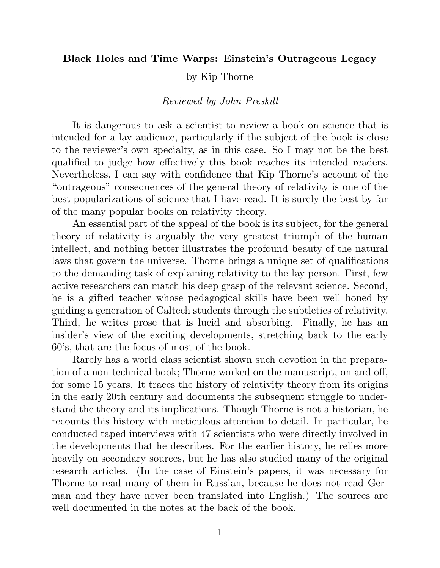## Black Holes and Time Warps: Einstein's Outrageous Legacy

by Kip Thorne

## Reviewed by John Preskill

It is dangerous to ask a scientist to review a book on science that is intended for a lay audience, particularly if the subject of the book is close to the reviewer's own specialty, as in this case. So I may not be the best qualified to judge how effectively this book reaches its intended readers. Nevertheless, I can say with confidence that Kip Thorne's account of the "outrageous" consequences of the general theory of relativity is one of the best popularizations of science that I have read. It is surely the best by far of the many popular books on relativity theory.

An essential part of the appeal of the book is its subject, for the general theory of relativity is arguably the very greatest triumph of the human intellect, and nothing better illustrates the profound beauty of the natural laws that govern the universe. Thorne brings a unique set of qualifications to the demanding task of explaining relativity to the lay person. First, few active researchers can match his deep grasp of the relevant science. Second, he is a gifted teacher whose pedagogical skills have been well honed by guiding a generation of Caltech students through the subtleties of relativity. Third, he writes prose that is lucid and absorbing. Finally, he has an insider's view of the exciting developments, stretching back to the early 60's, that are the focus of most of the book.

Rarely has a world class scientist shown such devotion in the preparation of a non-technical book; Thorne worked on the manuscript, on and off, for some 15 years. It traces the history of relativity theory from its origins in the early 20th century and documents the subsequent struggle to understand the theory and its implications. Though Thorne is not a historian, he recounts this history with meticulous attention to detail. In particular, he conducted taped interviews with 47 scientists who were directly involved in the developments that he describes. For the earlier history, he relies more heavily on secondary sources, but he has also studied many of the original research articles. (In the case of Einstein's papers, it was necessary for Thorne to read many of them in Russian, because he does not read German and they have never been translated into English.) The sources are well documented in the notes at the back of the book.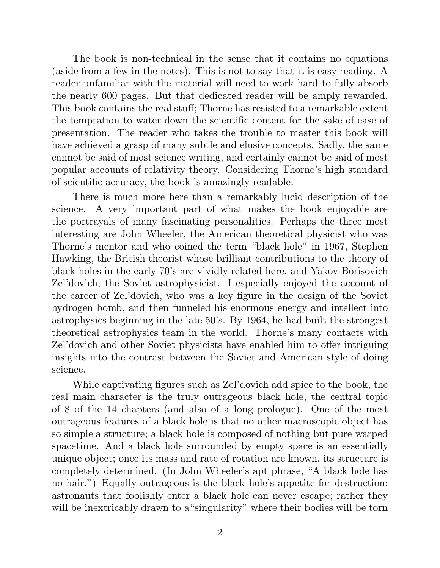The book is non-technical in the sense that it contains no equations (aside from a few in the notes). This is not to say that it is easy reading. A reader unfamiliar with the material will need to work hard to fully absorb the nearly 600 pages. But that dedicated reader will be amply rewarded. This book contains the real stuff; Thorne has resisted to a remarkable extent the temptation to water down the scientific content for the sake of ease of presentation. The reader who takes the trouble to master this book will have achieved a grasp of many subtle and elusive concepts. Sadly, the same cannot be said of most science writing, and certainly cannot be said of most popular accounts of relativity theory. Considering Thorne's high standard of scientific accuracy, the book is amazingly readable.

There is much more here than a remarkably lucid description of the science. A very important part of what makes the book enjoyable are the portrayals of many fascinating personalities. Perhaps the three most interesting are John Wheeler, the American theoretical physicist who was Thorne's mentor and who coined the term "black hole" in 1967, Stephen Hawking, the British theorist whose brilliant contributions to the theory of black holes in the early 70's are vividly related here, and Yakov Borisovich Zel'dovich, the Soviet astrophysicist. I especially enjoyed the account of the career of Zel'dovich, who was a key figure in the design of the Soviet hydrogen bomb, and then funneled his enormous energy and intellect into astrophysics beginning in the late 50's. By 1964, he had built the strongest theoretical astrophysics team in the world. Thorne's many contacts with Zel'dovich and other Soviet physicists have enabled him to offer intriguing insights into the contrast between the Soviet and American style of doing science.

While captivating figures such as Zel'dovich add spice to the book, the real main character is the truly outrageous black hole, the central topic of 8 of the 14 chapters (and also of a long prologue). One of the most outrageous features of a black hole is that no other macroscopic object has so simple a structure; a black hole is composed of nothing but pure warped spacetime. And a black hole surrounded by empty space is an essentially unique object; once its mass and rate of rotation are known, its structure is completely determined. (In John Wheeler's apt phrase, "A black hole has no hair.") Equally outrageous is the black hole's appetite for destruction: astronauts that foolishly enter a black hole can never escape; rather they will be inextricably drawn to a "singularity" where their bodies will be torn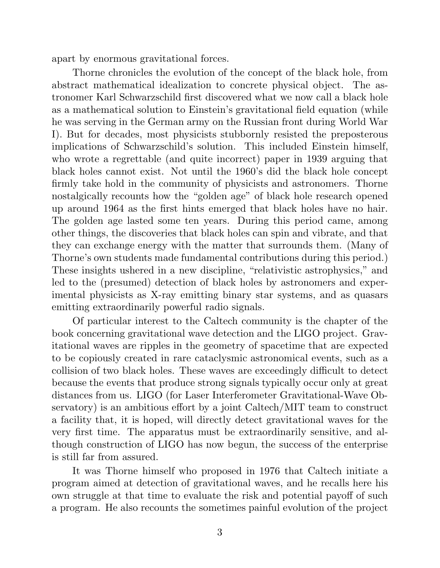apart by enormous gravitational forces.

Thorne chronicles the evolution of the concept of the black hole, from abstract mathematical idealization to concrete physical object. The astronomer Karl Schwarzschild first discovered what we now call a black hole as a mathematical solution to Einstein's gravitational field equation (while he was serving in the German army on the Russian front during World War I). But for decades, most physicists stubbornly resisted the preposterous implications of Schwarzschild's solution. This included Einstein himself, who wrote a regrettable (and quite incorrect) paper in 1939 arguing that black holes cannot exist. Not until the 1960's did the black hole concept firmly take hold in the community of physicists and astronomers. Thorne nostalgically recounts how the "golden age" of black hole research opened up around 1964 as the first hints emerged that black holes have no hair. The golden age lasted some ten years. During this period came, among other things, the discoveries that black holes can spin and vibrate, and that they can exchange energy with the matter that surrounds them. (Many of Thorne's own students made fundamental contributions during this period.) These insights ushered in a new discipline, "relativistic astrophysics," and led to the (presumed) detection of black holes by astronomers and experimental physicists as X-ray emitting binary star systems, and as quasars emitting extraordinarily powerful radio signals.

Of particular interest to the Caltech community is the chapter of the book concerning gravitational wave detection and the LIGO project. Gravitational waves are ripples in the geometry of spacetime that are expected to be copiously created in rare cataclysmic astronomical events, such as a collision of two black holes. These waves are exceedingly difficult to detect because the events that produce strong signals typically occur only at great distances from us. LIGO (for Laser Interferometer Gravitational-Wave Observatory) is an ambitious effort by a joint Caltech/MIT team to construct a facility that, it is hoped, will directly detect gravitational waves for the very first time. The apparatus must be extraordinarily sensitive, and although construction of LIGO has now begun, the success of the enterprise is still far from assured.

It was Thorne himself who proposed in 1976 that Caltech initiate a program aimed at detection of gravitational waves, and he recalls here his own struggle at that time to evaluate the risk and potential payoff of such a program. He also recounts the sometimes painful evolution of the project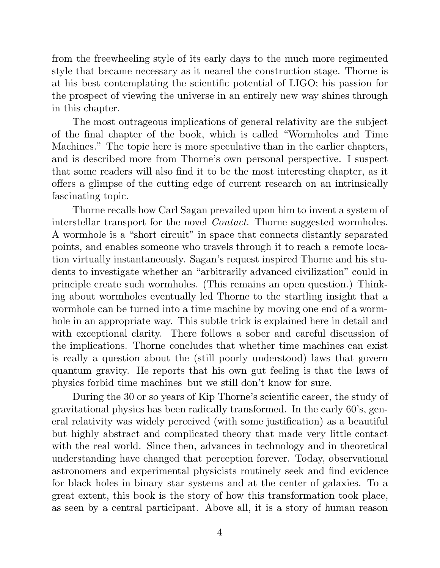from the freewheeling style of its early days to the much more regimented style that became necessary as it neared the construction stage. Thorne is at his best contemplating the scientific potential of LIGO; his passion for the prospect of viewing the universe in an entirely new way shines through in this chapter.

The most outrageous implications of general relativity are the subject of the final chapter of the book, which is called "Wormholes and Time Machines." The topic here is more speculative than in the earlier chapters, and is described more from Thorne's own personal perspective. I suspect that some readers will also find it to be the most interesting chapter, as it offers a glimpse of the cutting edge of current research on an intrinsically fascinating topic.

Thorne recalls how Carl Sagan prevailed upon him to invent a system of interstellar transport for the novel Contact. Thorne suggested wormholes. A wormhole is a "short circuit" in space that connects distantly separated points, and enables someone who travels through it to reach a remote location virtually instantaneously. Sagan's request inspired Thorne and his students to investigate whether an "arbitrarily advanced civilization" could in principle create such wormholes. (This remains an open question.) Thinking about wormholes eventually led Thorne to the startling insight that a wormhole can be turned into a time machine by moving one end of a wormhole in an appropriate way. This subtle trick is explained here in detail and with exceptional clarity. There follows a sober and careful discussion of the implications. Thorne concludes that whether time machines can exist is really a question about the (still poorly understood) laws that govern quantum gravity. He reports that his own gut feeling is that the laws of physics forbid time machines–but we still don't know for sure.

During the 30 or so years of Kip Thorne's scientific career, the study of gravitational physics has been radically transformed. In the early 60's, general relativity was widely perceived (with some justification) as a beautiful but highly abstract and complicated theory that made very little contact with the real world. Since then, advances in technology and in theoretical understanding have changed that perception forever. Today, observational astronomers and experimental physicists routinely seek and find evidence for black holes in binary star systems and at the center of galaxies. To a great extent, this book is the story of how this transformation took place, as seen by a central participant. Above all, it is a story of human reason